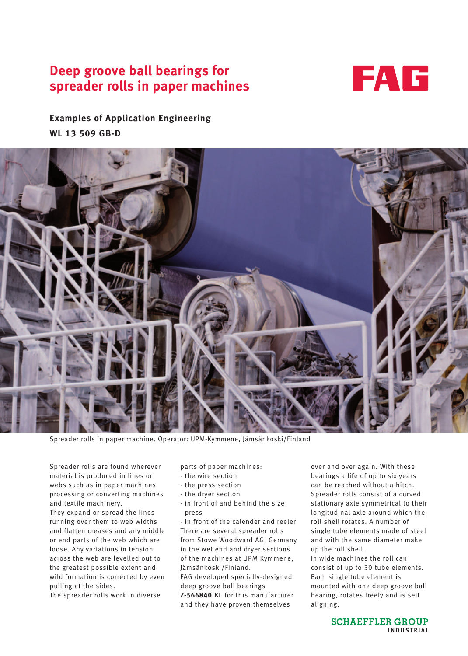# **Deep groove ball bearings for spreader rolls in paper machines**



**Examples of Application Engineering WL 13 509 GB-D**



Spreader rolls in paper machine. Operator: UPM-Kymmene, Jämsänkoski/Finland

Spreader rolls are found wherever material is produced in lines or webs such as in paper machines, processing or converting machines and textile machinery. They expand or spread the lines running over them to web widths and flatten creases and any middle or end parts of the web which are loose. Any variations in tension across the web are levelled out to the greatest possible extent and wild formation is corrected by even pulling at the sides.

The spreader rolls work in diverse

parts of paper machines:

- the wire section
- the press section
- the dryer section
- in front of and behind the size press

- in front of the calender and reeler There are several spreader rolls from Stowe Woodward AG, Germany in the wet end and dryer sections of the machines at UPM Kymmene, Jämsänkoski/Finland.

FAG developed specially-designed deep groove ball bearings

**Z-566840.KL** for this manufacturer and they have proven themselves

over and over again. With these bearings a life of up to six years can be reached without a hitch. Spreader rolls consist of a curved stationary axle symmetrical to their longitudinal axle around which the roll shell rotates. A number of single tube elements made of steel and with the same diameter make up the roll shell.

In wide machines the roll can consist of up to 30 tube elements. Each single tube element is mounted with one deep groove ball bearing, rotates freely and is self aligning.

> **SCHAEFFLER GROUP** INDUSTRIAL